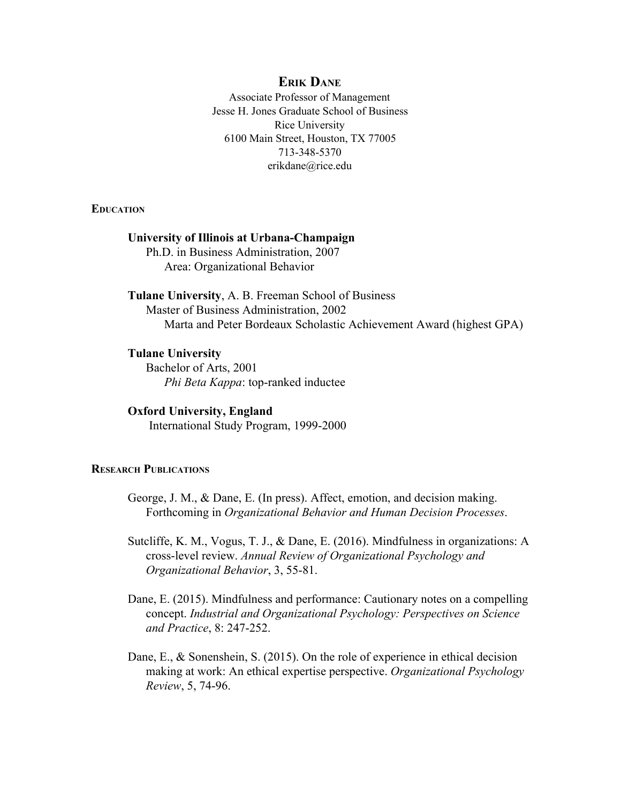# **ERIK DANE**

Associate Professor of Management Jesse H. Jones Graduate School of Business Rice University 6100 Main Street, Houston, TX 77005 713-348-5370 erikdane@rice.edu

**EDUCATION**

## **University of Illinois at UrbanaChampaign**

Ph.D. in Business Administration, 2007 Area: Organizational Behavior

**Tulane University**, A. B. Freeman School of Business Master of Business Administration, 2002 Marta and Peter Bordeaux Scholastic Achievement Award (highest GPA)

## **Tulane University**

Bachelor of Arts, 2001 *Phi Beta Kappa*: top-ranked inductee

#### **Oxford University, England**

International Study Program, 1999-2000

# **RESEARCH PUBLICATIONS**

- George, J. M., & Dane, E. (In press). Affect, emotion, and decision making. Forthcoming in *Organizational Behavior and Human Decision Processes*.
- Sutcliffe, K. M., Vogus, T. J., & Dane, E. (2016). Mindfulness in organizations: A crosslevel review. *Annual Review of Organizational Psychology and Organizational Behavior*, 3, 55-81.
- Dane, E. (2015). Mindfulness and performance: Cautionary notes on a compelling concept. *Industrial and Organizational Psychology: Perspectives on Science and Practice*, 8: 247-252.
- Dane, E., & Sonenshein, S. (2015). On the role of experience in ethical decision making at work: An ethical expertise perspective. *Organizational Psychology Review*, 5, 74-96.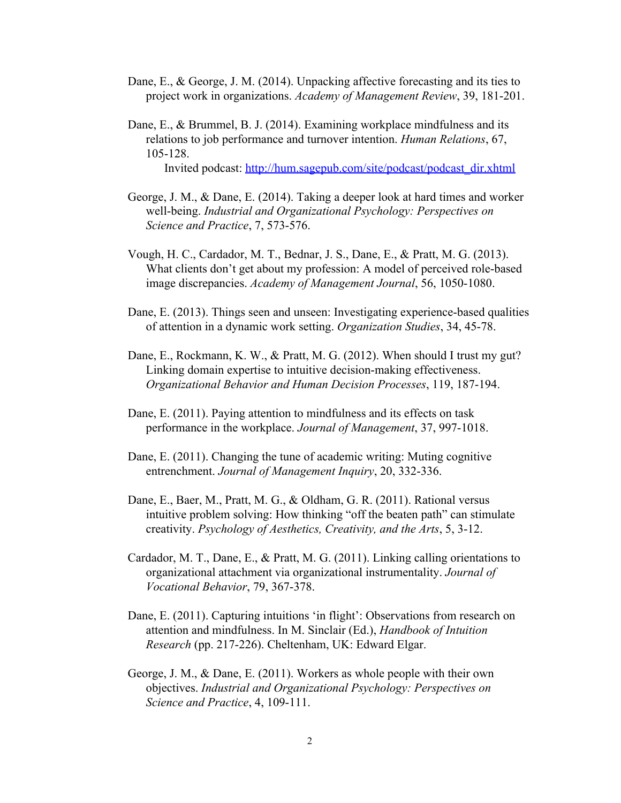- Dane, E., & George, J. M. (2014). Unpacking affective forecasting and its ties to project work in organizations. *Academy of Management Review*, 39, 181-201.
- Dane, E., & Brummel, B. J. (2014). Examining workplace mindfulness and its relations to job performance and turnover intention. *Human Relations*, 67, 105128.

Invited podcast: [http://hum.sagepub.com/site/podcast/podcast\\_dir.xhtml](http://hum.sagepub.com/site/podcast/podcast_dir.xhtml)

- George, J. M., & Dane, E. (2014). Taking a deeper look at hard times and worker  $w$ ell-being. *Industrial and Organizational Psychology: Perspectives on Science and Practice*, 7, 573-576.
- Vough, H. C., Cardador, M. T., Bednar, J. S., Dane, E., & Pratt, M. G. (2013). What clients don't get about my profession: A model of perceived role-based image discrepancies. *Academy of Management Journal*, 56, 1050-1080.
- Dane, E. (2013). Things seen and unseen: Investigating experience-based qualities of attention in a dynamic work setting. *Organization Studies*, 34, 4578.
- Dane, E., Rockmann, K. W., & Pratt, M. G. (2012). When should I trust my gut? Linking domain expertise to intuitive decision-making effectiveness. *Organizational Behavior and Human Decision Processes, 119, 187-194.*
- Dane, E. (2011). Paying attention to mindfulness and its effects on task performance in the workplace. *Journal of Management*, 37, 997-1018.
- Dane, E. (2011). Changing the tune of academic writing: Muting cognitive entrenchment. *Journal of Management Inquiry*, 20, 332-336.
- Dane, E., Baer, M., Pratt, M. G., & Oldham, G. R. (2011). Rational versus intuitive problem solving: How thinking "off the beaten path" can stimulate creativity. *Psychology of Aesthetics, Creativity, and the Arts*, 5, 312.
- Cardador, M. T., Dane, E., & Pratt, M. G. (2011). Linking calling orientations to organizational attachment via organizational instrumentality. *Journal of Vocational Behavior*, 79, 367-378.
- Dane, E. (2011). Capturing intuitions 'in flight': Observations from research on attention and mindfulness. In M. Sinclair (Ed.), *Handbook of Intuition* Research (pp. 217-226). Cheltenham, UK: Edward Elgar.
- George, J. M., & Dane, E. (2011). Workers as whole people with their own objectives. *Industrial and Organizational Psychology: Perspectives on Science and Practice*, 4, 109-111.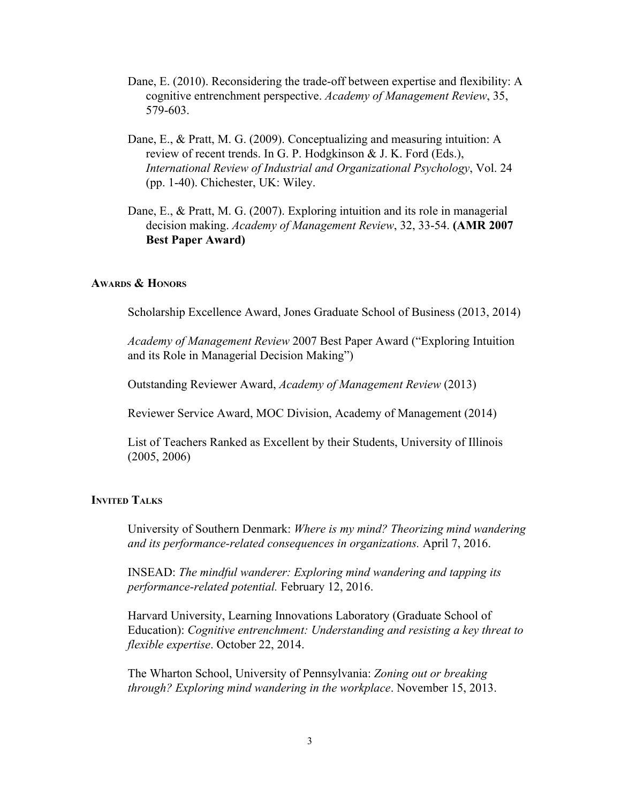- Dane, E. (2010). Reconsidering the trade-off between expertise and flexibility: A cognitive entrenchment perspective. *Academy of Management Review*, 35, 579-603.
- Dane, E., & Pratt, M. G. (2009). Conceptualizing and measuring intuition: A review of recent trends. In G. P. Hodgkinson & J. K. Ford (Eds.), *International Review of Industrial and Organizational Psychology*, Vol. 24 (pp. 140). Chichester, UK: Wiley.
- Dane, E., & Pratt, M. G. (2007). Exploring intuition and its role in managerial decision making. *Academy of Management Review*, 32, 3354. **(AMR 2007 Best Paper Award)**

## **AWARDS & HONORS**

Scholarship Excellence Award, Jones Graduate School of Business (2013, 2014)

*Academy of Management Review* 2007 Best Paper Award ("Exploring Intuition and its Role in Managerial Decision Making")

Outstanding Reviewer Award, *Academy of Management Review* (2013)

Reviewer Service Award, MOC Division, Academy of Management (2014)

List of Teachers Ranked as Excellent by their Students, University of Illinois (2005, 2006)

#### **INVITED TALKS**

University of Southern Denmark: *Where is my mind? Theorizing mind wandering and its performance-related consequences in organizations.* April 7, 2016.

INSEAD: *The mindful wanderer: Exploring mind wandering and tapping its performance-related potential.* February 12, 2016.

Harvard University, Learning Innovations Laboratory (Graduate School of Education): *Cognitive entrenchment: Understanding and resisting a key threat to flexible expertise*. October 22, 2014.

The Wharton School, University of Pennsylvania: *Zoning out or breaking through? Exploring mind wandering in the workplace*. November 15, 2013.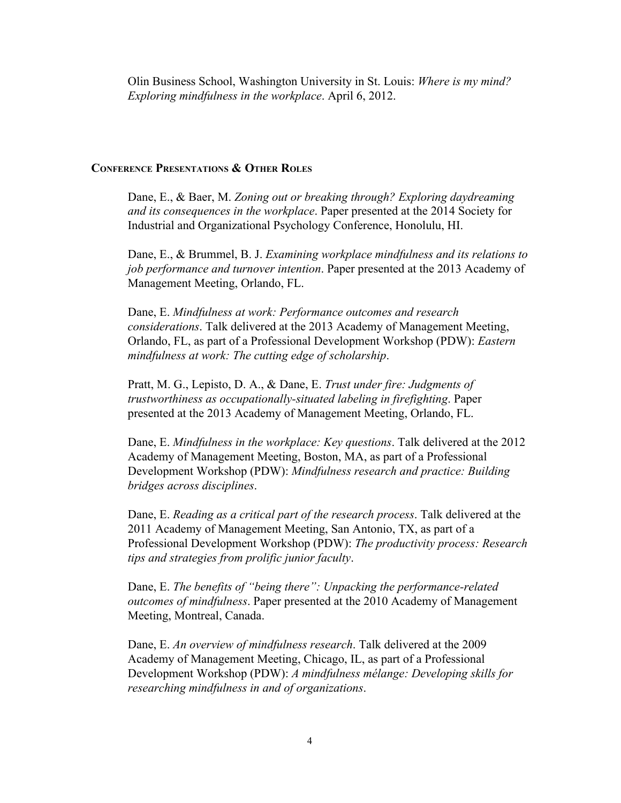Olin Business School, Washington University in St. Louis: *Where is my mind? Exploring mindfulness in the workplace*. April 6, 2012.

#### **CONFERENCE PRESENTATIONS & OTHER ROLES**

Dane, E., & Baer, M. *Zoning out or breaking through? Exploring daydreaming and its consequences in the workplace*. Paper presented at the 2014 Society for Industrial and Organizational Psychology Conference, Honolulu, HI.

Dane, E., & Brummel, B. J. *Examining workplace mindfulness and its relations to job performance and turnover intention*. Paper presented at the 2013 Academy of Management Meeting, Orlando, FL.

Dane, E. *Mindfulness at work: Performance outcomes and research considerations*. Talk delivered at the 2013 Academy of Management Meeting, Orlando, FL, as part of a Professional Development Workshop (PDW): *Eastern mindfulness at work: The cutting edge of scholarship*.

Pratt, M. G., Lepisto, D. A., & Dane, E. *Trust under fire: Judgments of trustworthiness as occupationallysituated labeling in firefighting*. Paper presented at the 2013 Academy of Management Meeting, Orlando, FL.

Dane, E. *Mindfulness in the workplace: Key questions*. Talk delivered at the 2012 Academy of Management Meeting, Boston, MA, as part of a Professional Development Workshop (PDW): *Mindfulness research and practice: Building bridges across disciplines*.

Dane, E. *Reading as a critical part of the research process*. Talk delivered at the 2011 Academy of Management Meeting, San Antonio, TX, as part of a Professional Development Workshop (PDW): *The productivity process: Research tips and strategies from prolific junior faculty*.

Dane, E. *The benefits of "being there": Unpacking the performance-related outcomes of mindfulness*. Paper presented at the 2010 Academy of Management Meeting, Montreal, Canada.

Dane, E. *An overview of mindfulness research*. Talk delivered at the 2009 Academy of Management Meeting, Chicago, IL, as part of a Professional Development Workshop (PDW): *A mindfulness mélange: Developing skills for researching mindfulness in and of organizations*.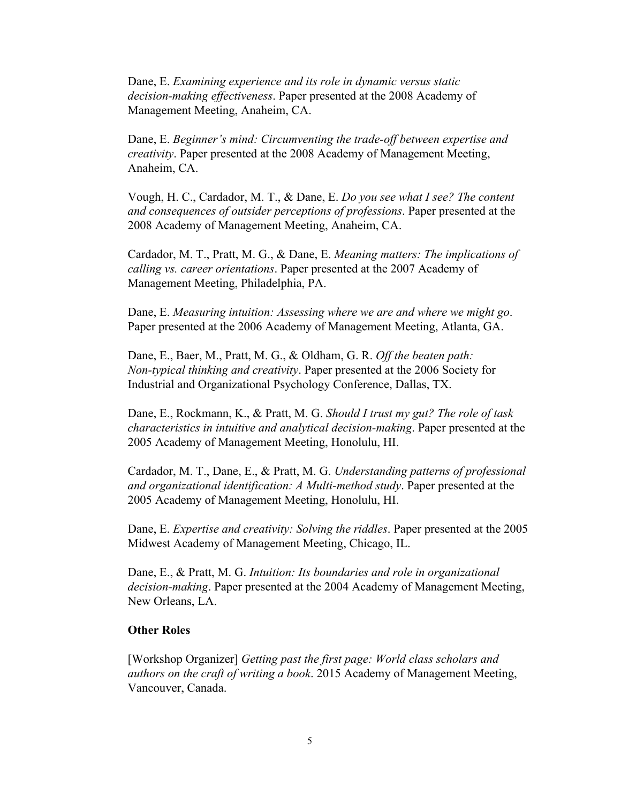Dane, E. *Examining experience and its role in dynamic versus static decision-making effectiveness.* Paper presented at the 2008 Academy of Management Meeting, Anaheim, CA.

Dane, E. *Beginner's mind: Circumventing the tradeof between expertise and creativity*. Paper presented at the 2008 Academy of Management Meeting, Anaheim, CA.

Vough, H. C., Cardador, M. T., & Dane, E. *Do you see what I see? The content and consequences of outsider perceptions of professions*. Paper presented at the 2008 Academy of Management Meeting, Anaheim, CA.

Cardador, M. T., Pratt, M. G., & Dane, E. *Meaning matters: The implications of calling vs. career orientations*. Paper presented at the 2007 Academy of Management Meeting, Philadelphia, PA.

Dane, E. *Measuring intuition: Assessing where we are and where we might go*. Paper presented at the 2006 Academy of Management Meeting, Atlanta, GA.

Dane, E., Baer, M., Pratt, M. G., & Oldham, G. R. *Of the beaten path: Nontypical thinking and creativity*. Paper presented at the 2006 Society for Industrial and Organizational Psychology Conference, Dallas, TX.

Dane, E., Rockmann, K., & Pratt, M. G. *Should I trust my gut? The role of task characteristics in intuitive and analytical decision-making. Paper presented at the* 2005 Academy of Management Meeting, Honolulu, HI.

Cardador, M. T., Dane, E., & Pratt, M. G. *Understanding patterns of professional and organizational identification: A Multimethod study*. Paper presented at the 2005 Academy of Management Meeting, Honolulu, HI.

Dane, E. *Expertise and creativity: Solving the riddles*. Paper presented at the 2005 Midwest Academy of Management Meeting, Chicago, IL.

Dane, E., & Pratt, M. G. *Intuition: Its boundaries and role in organizational decision-making*. Paper presented at the 2004 Academy of Management Meeting, New Orleans, LA.

## **Other Roles**

[Workshop Organizer] *Getting past the first page: World class scholars and authors on the craft of writing a book*. 2015 Academy of Management Meeting, Vancouver, Canada.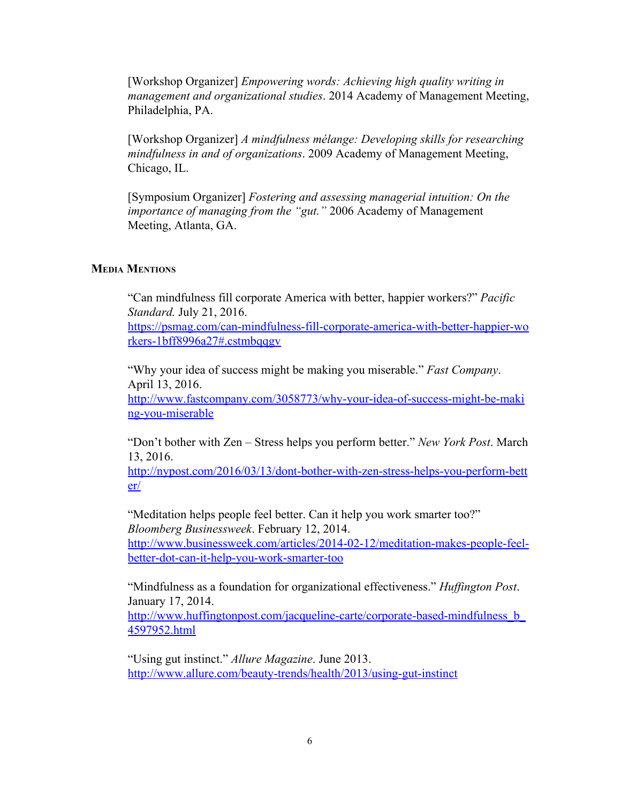[Workshop Organizer] *Empowering words: Achieving high quality writing in management and organizational studies*. 2014 Academy of Management Meeting, Philadelphia, PA.

[Workshop Organizer] *A mindfulness mélange: Developing skills for researching mindfulness in and of organizations*. 2009 Academy of Management Meeting, Chicago, IL.

[Symposium Organizer] *Fostering and assessing managerial intuition: On the importance of managing from the "gut."* 2006 Academy of Management Meeting, Atlanta, GA.

## **MEDIA MENTIONS**

"Can mindfulness fill corporate America with better, happier workers?" *Pacific Standard.* July 21, 2016.

https://psmag.com/can-mindfulness-fill-corporate-america-with-better-happier-wo [rkers1bff8996a27#.cstmbqqgv](https://psmag.com/can-mindfulness-fill-corporate-america-with-better-happier-workers-1bff8996a27#.cstmbqqgv)

"Why your idea of success might be making you miserable." *Fast Company*. April 13, 2016.

http://www.fastcompany.com/3058773/why-your-idea-of-success-might-be-maki ng-you-miserable

"Don't bother with Zen – Stress helps you perform better." *New York Post*. March 13, 2016.

http://nypost.com/2016/03/13/dont-bother-with-zen-stress-helps-you-perform-bett [er/](http://nypost.com/2016/03/13/dont-bother-with-zen-stress-helps-you-perform-better/)

"Meditation helps people feel better. Can it help you work smarter too?" *Bloomberg Businessweek*. February 12, 2014. http://www.businessweek.com/articles/2014-02-12/meditation-makes-people-feel-

better-dot-can-it-help-you-work-smarter-too

"Mindfulness as a foundation for organizational effectiveness." *Huffington Post*. January 17, 2014.

http://www.huffingtonpost.com/jacqueline-carte/corporate-based-mindfulness\_b [4597952.html](http://www.huffingtonpost.com/jacqueline-carte/corporate-based-mindfulness_b_4597952.html)

"Using gut instinct." *Allure Magazine*. June 2013. http://www.allure.com/beauty-trends/health/2013/using-gut-instinct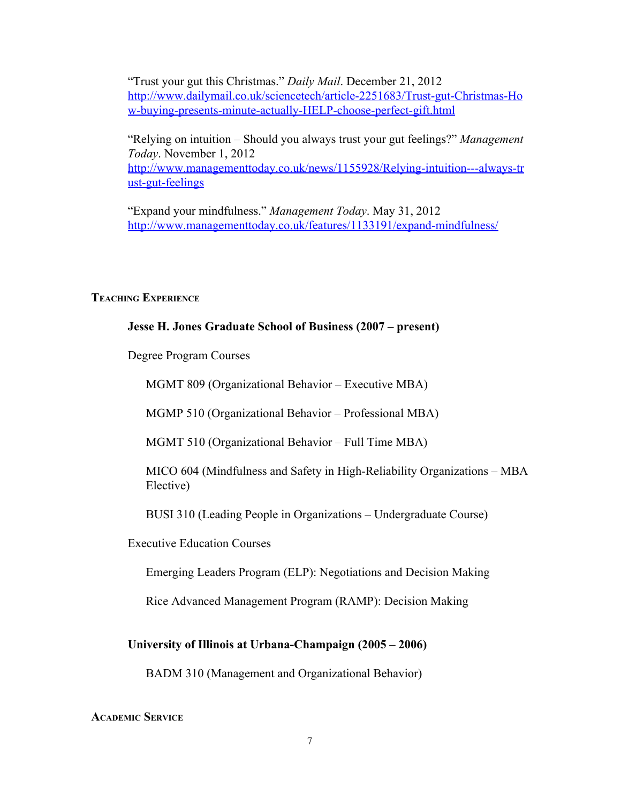"Trust your gut this Christmas." *Daily Mail*. December 21, 2012 http://www.dailymail.co.uk/sciencetech/article-2251683/Trust-gut-Christmas-Ho w-buying-presents-minute-actually-HELP-choose-perfect-gift.html

"Relying on intuition – Should you always trust your gut feelings?" *Management Today*. November 1, 2012 http://www.managementtoday.co.uk/news/1155928/Relying-intuition---always-tr ust-gut-feelings

"Expand your mindfulness." *Management Today*. May 31, 2012 http://www.managementtoday.co.uk/features/1133191/expand-mindfulness/

## **TEACHING EXPERIENCE**

# **Jesse H. Jones Graduate School of Business (2007 – present)**

Degree Program Courses

MGMT 809 (Organizational Behavior – Executive MBA)

MGMP 510 (Organizational Behavior – Professional MBA)

MGMT 510 (Organizational Behavior – Full Time MBA)

MICO 604 (Mindfulness and Safety in High-Reliability Organizations – MBA Elective)

BUSI 310 (Leading People in Organizations – Undergraduate Course)

Executive Education Courses

Emerging Leaders Program (ELP): Negotiations and Decision Making

Rice Advanced Management Program (RAMP): Decision Making

### **University of Illinois at UrbanaChampaign (2005 – 2006)**

BADM 310 (Management and Organizational Behavior)

#### **ACADEMIC SERVICE**